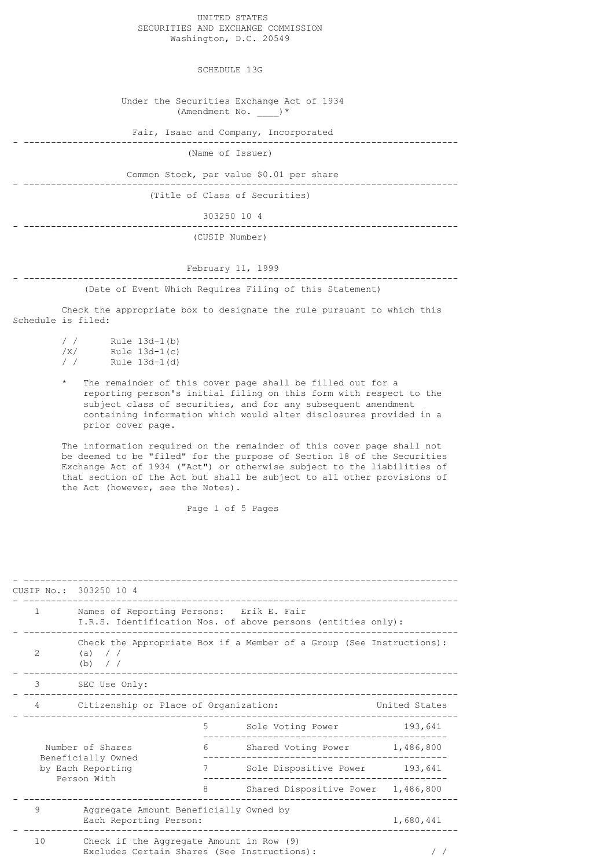## UNITED STATES SECURITIES AND EXCHANGE COMMISSION Washington, D.C. 20549

SCHEDULE 13G

 Under the Securities Exchange Act of 1934 (Amendment No.  $)$ \*

Fair, Isaac and Company, Incorporated

- -------------------------------------------------------------------------------- (Name of Issuer)

 Common Stock, par value \$0.01 per share - --------------------------------------------------------------------------------

(Title of Class of Securities)

303250 10 4

- -------------------------------------------------------------------------------- (CUSIP Number)

## February 11, 1999 - --------------------------------------------------------------------------------

(Date of Event Which Requires Filing of this Statement)

 Check the appropriate box to designate the rule pursuant to which this Schedule is filed:

| $\frac{1}{2}$ | Rule $13d-1(b)$ |
|---------------|-----------------|
| / X /         | Rule $13d-1(c)$ |
| $\prime$ /    | Rule 13d-1(d)   |

The remainder of this cover page shall be filled out for a reporting person's initial filing on this form with respect to the subject class of securities, and for any subsequent amendment containing information which would alter disclosures provided in a prior cover page.

 The information required on the remainder of this cover page shall not be deemed to be "filed" for the purpose of Section 18 of the Securities Exchange Act of 1934 ("Act") or otherwise subject to the liabilities of that section of the Act but shall be subject to all other provisions of the Act (however, see the Notes).

Page 1 of 5 Pages

|                                                                            | CUSIP No.: 303250 10 4                                                                                   |                                    |                               |         |
|----------------------------------------------------------------------------|----------------------------------------------------------------------------------------------------------|------------------------------------|-------------------------------|---------|
| $\mathbf{1}$                                                               | Names of Reporting Persons: Erik E. Fair<br>I.R.S. Identification Nos. of above persons (entities only): |                                    |                               |         |
| $\mathfrak{D}$                                                             | Check the Appropriate Box if a Member of a Group (See Instructions):<br>(a) $/$<br>(b) / /               |                                    |                               |         |
| 3                                                                          | SEC Use Only:                                                                                            |                                    |                               |         |
| 4                                                                          | Citizenship or Place of Organization:<br>United States                                                   |                                    |                               |         |
|                                                                            |                                                                                                          | 5                                  | Sole Voting Power             | 193,641 |
| Number of Shares<br>Beneficially Owned<br>by Each Reporting<br>Person With |                                                                                                          | 6                                  | Shared Voting Power 1,486,800 |         |
|                                                                            | 7                                                                                                        | Sole Dispositive Power 193,641     |                               |         |
|                                                                            | 8                                                                                                        | Shared Dispositive Power 1,486,800 |                               |         |
| 9                                                                          | Aggregate Amount Beneficially Owned by<br>Each Reporting Person:                                         |                                    | 1,680,441                     |         |
| 10                                                                         | Check if the Aggregate Amount in Row (9)<br>Excludes Certain Shares (See Instructions):                  |                                    |                               |         |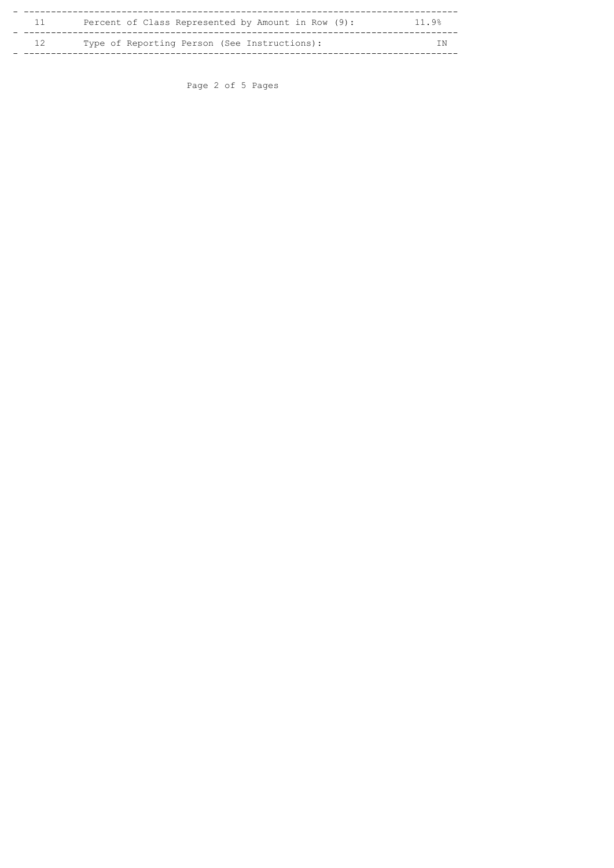|    | Percent of Class Represented by Amount in Row (9): | 11.9% |
|----|----------------------------------------------------|-------|
| 12 | Type of Reporting Person (See Instructions):       | I N   |

Page 2 of 5 Pages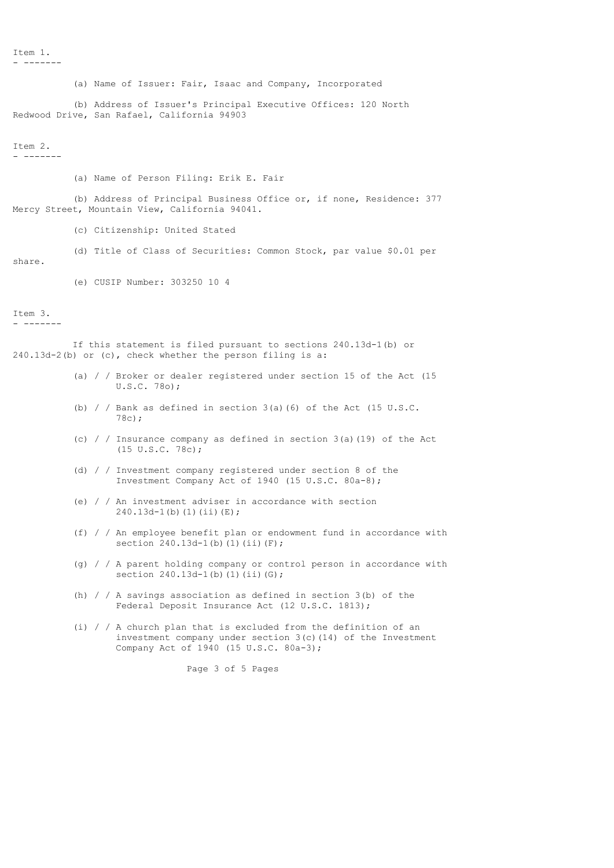Item 1. - -------

 (a) Name of Issuer: Fair, Isaac and Company, Incorporated (b) Address of Issuer's Principal Executive Offices: 120 North Redwood Drive, San Rafael, California 94903 Item 2. - ------- (a) Name of Person Filing: Erik E. Fair (b) Address of Principal Business Office or, if none, Residence: 377 Mercy Street, Mountain View, California 94041. (c) Citizenship: United Stated (d) Title of Class of Securities: Common Stock, par value \$0.01 per share. (e) CUSIP Number: 303250 10 4  $T \uparrow \varphi m$  3. - ------- If this statement is filed pursuant to sections 240.13d-1(b) or 240.13d-2(b) or (c), check whether the person filing is a: (a) / / Broker or dealer registered under section 15 of the Act (15 U.S.C. 78o); (b) / / Bank as defined in section  $3(a)$  (6) of the Act (15 U.S.C. 78c); (c) /  $/$  Insurance company as defined in section 3(a)(19) of the Act (15 U.S.C. 78c); (d) / / Investment company registered under section 8 of the Investment Company Act of 1940 (15 U.S.C. 80a-8);

> (e) / / An investment adviser in accordance with section 240.13d-1(b)(1)(ii)(E);

- (f) / / An employee benefit plan or endowment fund in accordance with section  $240.13d-1$ (b)(1)(ii)(F);
- (g) / / A parent holding company or control person in accordance with section  $240.13d-1$ (b)(1)(ii)(G);
- (h) / / A savings association as defined in section 3(b) of the Federal Deposit Insurance Act (12 U.S.C. 1813);
- (i) / / A church plan that is excluded from the definition of an investment company under section 3(c)(14) of the Investment Company Act of 1940 (15 U.S.C. 80a-3);

Page 3 of 5 Pages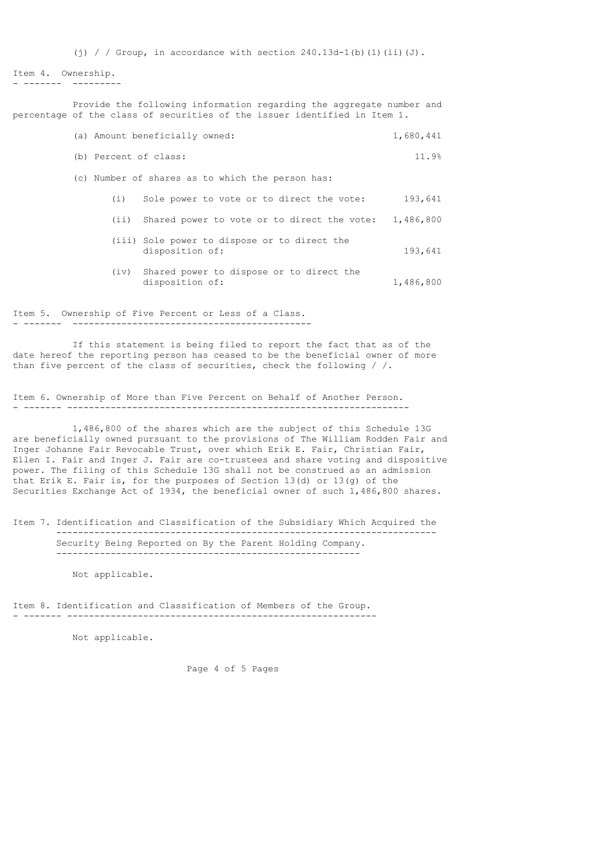(i) / / Group, in accordance with section  $240.13d-1$ (b)(1)(ii)(J).

```
Item 4. Ownership.
- - - - -
```
 Provide the following information regarding the aggregate number and percentage of the class of securities of the issuer identified in Item 1.

| (a) Amount beneficially owned:                   | 1,680,441 |
|--------------------------------------------------|-----------|
| (b) Percent of class:                            | 11.9%     |
| (c) Number of shares as to which the person has: |           |

|  |  |  | Sole power to vote or to direct the vote: | 193,641 |
|--|--|--|-------------------------------------------|---------|
|--|--|--|-------------------------------------------|---------|

- (ii) Shared power to vote or to direct the vote: 1,486,800
- (iii) Sole power to dispose or to direct the disposition of: 193,641
- (iv) Shared power to dispose or to direct the disposition of: 1,486,800

Item 5. Ownership of Five Percent or Less of a Class. - ------- --------------------------------------------

 If this statement is being filed to report the fact that as of the date hereof the reporting person has ceased to be the beneficial owner of more than five percent of the class of securities, check the following / /.

Item 6. Ownership of More than Five Percent on Behalf of Another Person. - ------- ---------------------------------------------------------------

 1,486,800 of the shares which are the subject of this Schedule 13G are beneficially owned pursuant to the provisions of The William Rodden Fair and Inger Johanne Fair Revocable Trust, over which Erik E. Fair, Christian Fair, Ellen I. Fair and Inger J. Fair are co-trustees and share voting and dispositive power. The filing of this Schedule 13G shall not be construed as an admission that Erik E. Fair is, for the purposes of Section 13(d) or 13(g) of the Securities Exchange Act of 1934, the beneficial owner of such 1,486,800 shares.

Item 7. Identification and Classification of the Subsidiary Which Acquired the

----------------------------------------------------------------------

 Security Being Reported on By the Parent Holding Company. --------------------------------------------------------

Not applicable.

Item 8. Identification and Classification of Members of the Group. - ------- ---------------------------------------------------------

Not applicable.

Page 4 of 5 Pages